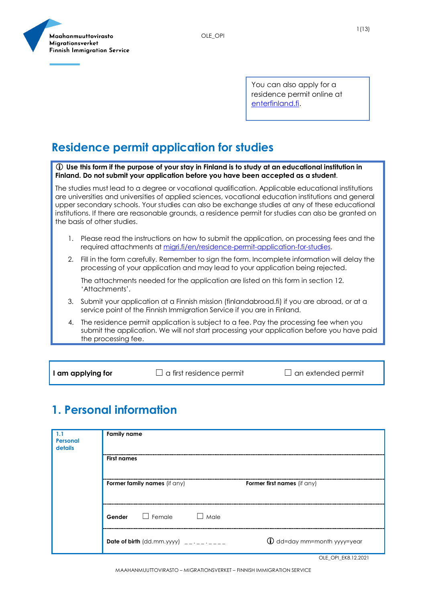OLE\_OPI



You can also apply for a residence permit online at [enterfinland.fi.](https://enterfinland.fi/eServices/)

#### **Residence permit application for studies**

 **Use this form if the purpose of your stay in Finland is to study at an educational institution in Finland. Do not submit your application before you have been accepted as a student**.

The studies must lead to a degree or vocational qualification. Applicable educational institutions are universities and universities of applied sciences, vocational education institutions and general upper secondary schools. Your studies can also be exchange studies at any of these educational institutions. If there are reasonable grounds, a residence permit for studies can also be granted on the basis of other studies.

- 1. Please read the instructions on how to submit the application, on processing fees and the required attachments at [migri.fi/en/residence-permit-application-for-studies.](https://migri.fi/en/residence-permit-application-for-studies)
- 2. Fill in the form carefully. Remember to sign the form. Incomplete information will delay the processing of your application and may lead to your application being rejected.

The attachments needed for the application are listed on this form in section 12. 'Attachments'.

- 3. Submit your application at a Finnish mission (finlandabroad.fi) if you are abroad, or at a service point of the Finnish Immigration Service if you are in Finland.
- 4. The residence permit application is subject to a fee. Pay the processing fee when you submit the application. We will not start processing your application before you have paid the processing fee.

**I am applying for** □ a first residence permit □ an extended permit

#### **1. Personal information**

| 1.1<br>Personal<br>details | <b>Family name</b>                       |                             |
|----------------------------|------------------------------------------|-----------------------------|
|                            | <b>First names</b>                       |                             |
|                            | <b>Former family names</b> (if any)      | Former first names (if any) |
|                            | Gender Female<br>$\Box$ Male             |                             |
|                            | Date of birth $(dd.mm.yyyy)$ __ .__ .___ | 1 dd=day mm=month yyyy=year |

OLE\_OPI\_EK8.12.2021

MAAHANMUUTTOVIRASTO – MIGRATIONSVERKET – FINNISH IMMIGRATION SERVICE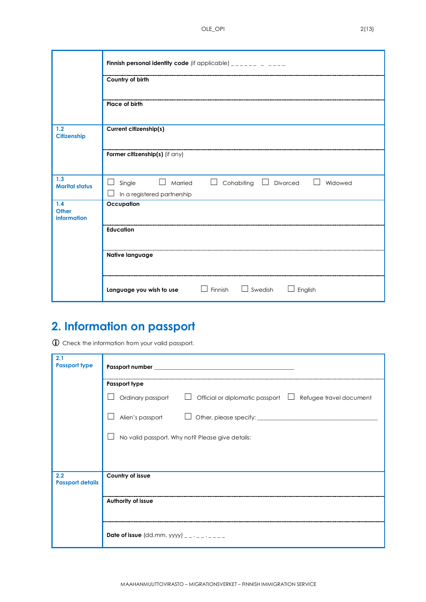OLE\_OPI 2(13)

|                                    | Finnish personal identity code (if applicable) $\frac{1}{2}$ = $\frac{1}{2}$ = $\frac{1}{2}$ = $\frac{1}{2}$ = $\frac{1}{2}$                                               |  |
|------------------------------------|----------------------------------------------------------------------------------------------------------------------------------------------------------------------------|--|
|                                    | Country of birth                                                                                                                                                           |  |
|                                    | Place of birth                                                                                                                                                             |  |
| 1.2<br>Citizenship                 | Current citizenship(s)                                                                                                                                                     |  |
|                                    | Former citizenship(s) (if any)                                                                                                                                             |  |
| 1.3<br><b>Marital status</b>       | Cohabiting<br>Divorced<br>Single<br>Married<br>Widowed<br>$\mathcal{L}$<br>$\Box$<br>$\Box$<br>$\Box$<br>$\Box$<br>In a registered partnership<br>$\overline{\phantom{a}}$ |  |
| 1.4<br><b>Other</b><br>information | Occupation                                                                                                                                                                 |  |
|                                    | <b>Education</b>                                                                                                                                                           |  |
|                                    | Native language                                                                                                                                                            |  |
|                                    | $\Box$ Swedish<br>$\Box$ Finnish<br>English<br>Language you wish to use                                                                                                    |  |

## **2. Information on passport**

Check the information from your valid passport.

| 2.1<br><b>Passport type</b>    |                                                                                        |  |  |
|--------------------------------|----------------------------------------------------------------------------------------|--|--|
|                                | Passport type                                                                          |  |  |
|                                | Ordinary passport<br>Official or diplomatic passport $\Box$<br>Refugee travel document |  |  |
|                                | Alien's passport                                                                       |  |  |
|                                | No valid passport. Why not? Please give details:                                       |  |  |
|                                |                                                                                        |  |  |
| 2.2<br><b>Passport details</b> | Country of issue                                                                       |  |  |
|                                | Authority of issue                                                                     |  |  |
|                                | Date of issue (dd.mm. yyyy) $\frac{1}{2}$ $\cdots$ $\frac{1}{2}$                       |  |  |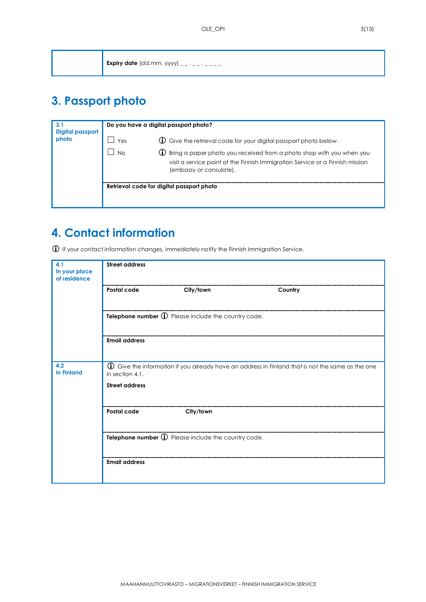| Expiry date (dd.mm. yyyy) __ . _ _ . _ _ _ |
|--------------------------------------------|

## **3. Passport photo**

| 3.1<br><b>Digital passport</b><br>photo | Do you have a digital passport photo? |                                                                                                                                                                                                                                      |  |
|-----------------------------------------|---------------------------------------|--------------------------------------------------------------------------------------------------------------------------------------------------------------------------------------------------------------------------------------|--|
|                                         | Yes<br>No.                            | <b>1</b> Give the retrieval code for your digital passport photo below.<br>(i) Bring a paper photo you received from a photo shop with you when you<br>visit a service point of the Finnish Immigration Service or a Finnish mission |  |
|                                         |                                       | (embassy or consulate).<br>Retrieval code for digital passport photo                                                                                                                                                                 |  |

## **4. Contact information**

If your contact information changes, immediately notify the Finnish Immigration Service.

| 4.1<br>In your place<br>of residence                                                                                                                                            | <b>Street address</b>                               |                                                     |         |  |
|---------------------------------------------------------------------------------------------------------------------------------------------------------------------------------|-----------------------------------------------------|-----------------------------------------------------|---------|--|
|                                                                                                                                                                                 | Postal code                                         | City/town                                           | Country |  |
|                                                                                                                                                                                 |                                                     | Telephone number 1 Please include the country code. |         |  |
|                                                                                                                                                                                 | <b>Email address</b>                                |                                                     |         |  |
| 4.2<br><b>1</b> Give the information if you already have an address in Finland that is not the same as the one<br><b>In Finland</b><br>in section 4.1.<br><b>Street address</b> |                                                     |                                                     |         |  |
|                                                                                                                                                                                 |                                                     |                                                     |         |  |
|                                                                                                                                                                                 | Postal code                                         | City/town                                           |         |  |
|                                                                                                                                                                                 | Telephone number 1 Please include the country code. |                                                     |         |  |
|                                                                                                                                                                                 | <b>Email address</b>                                |                                                     |         |  |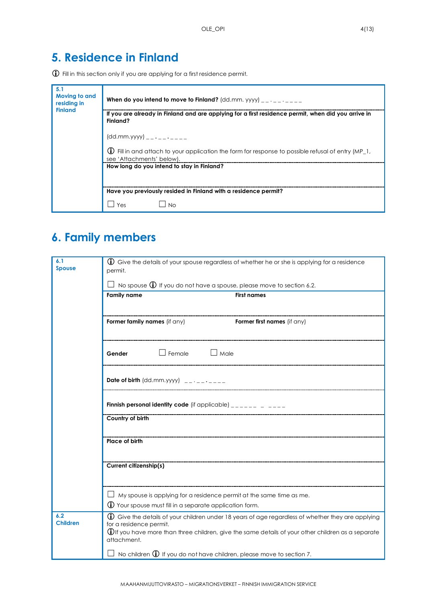## **5. Residence in Finland**

Fill in this section only if you are applying for a first residence permit.

| 5.1<br>Moving to and<br>residing in<br><b>Finland</b> | When do you intend to move to Finland? ( $dd.mm.$ yyyy) __ . _ _ . _ _ _                                                             |
|-------------------------------------------------------|--------------------------------------------------------------------------------------------------------------------------------------|
|                                                       | If you are already in Finland and are applying for a first residence permit, when did you arrive in<br>Finland?                      |
|                                                       | $(dd.mm.yyyy)$ _________                                                                                                             |
|                                                       | (i)<br>Fill in and attach to your application the form for response to possible refusal of entry (MP 1,<br>see 'Attachments' below). |
|                                                       | How long do you intend to stay in Finland?                                                                                           |
|                                                       | Have you previously resided in Finland with a residence permit?                                                                      |
|                                                       | Yes<br>N <sub>0</sub>                                                                                                                |

## **6. Family members**

| 6.1<br><b>Spouse</b>   | <b>(i)</b> Give the details of your spouse regardless of whether he or she is applying for a residence<br>permit.                                |                                                                                                                                                                                                                |  |
|------------------------|--------------------------------------------------------------------------------------------------------------------------------------------------|----------------------------------------------------------------------------------------------------------------------------------------------------------------------------------------------------------------|--|
|                        | $\Box$ No spouse $\bigoplus$ If you do not have a spouse, please move to section 6.2.                                                            |                                                                                                                                                                                                                |  |
|                        | <b>Family name</b>                                                                                                                               | <b>First names</b>                                                                                                                                                                                             |  |
|                        | Former family names (if any)                                                                                                                     | <b>Former first names</b> (if any)                                                                                                                                                                             |  |
|                        | $\Box$ Female $\Box$ Male<br>Gender                                                                                                              |                                                                                                                                                                                                                |  |
|                        | Date of birth $(dd.mm.yyyy)$ __.__.___                                                                                                           |                                                                                                                                                                                                                |  |
|                        | <b>Finnish personal identity code</b> (if applicable) $\frac{1}{2}$                                                                              |                                                                                                                                                                                                                |  |
|                        | Country of birth                                                                                                                                 |                                                                                                                                                                                                                |  |
|                        | Place of birth                                                                                                                                   |                                                                                                                                                                                                                |  |
|                        | Current citizenship(s)                                                                                                                           |                                                                                                                                                                                                                |  |
|                        | $\Box$ My spouse is applying for a residence permit at the same time as me.<br>$\bigoplus$ Your spouse must fill in a separate application form. |                                                                                                                                                                                                                |  |
| 6.2<br><b>Children</b> | for a residence permit.<br>attachment.                                                                                                           | (i) Give the details of your children under 18 years of age regardless of whether they are applying<br>$\bigcirc$ ou have more than three children, give the same details of your other children as a separate |  |
|                        | No children $\mathbb D$ If you do not have children, please move to section 7.                                                                   |                                                                                                                                                                                                                |  |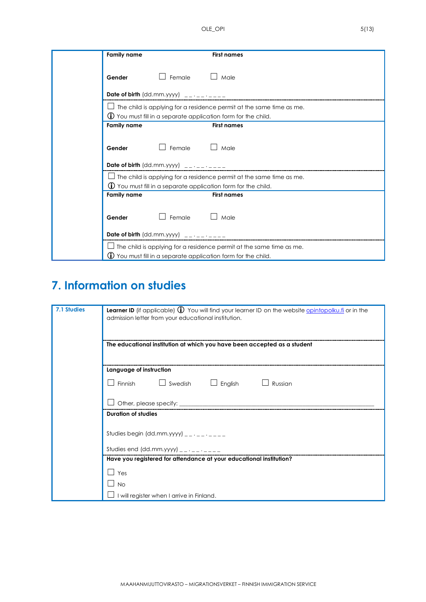| <b>Family name</b><br><b>First names</b>                                     |
|------------------------------------------------------------------------------|
| $\Box$ Female<br>Male<br>Gender                                              |
|                                                                              |
| The child is applying for a residence permit at the same time as me.         |
| $\bigcirc$ You must fill in a separate application form for the child.       |
| <b>Family name</b><br><b>First names</b>                                     |
| $\Box$ Female $\Box$ Male<br>Gender<br>Date of birth $(dd.mm.yyyy)$ ________ |
| $\Box$ The child is applying for a residence permit at the same time as me.  |
| $\bigcirc$ You must fill in a separate application form for the child.       |
| <b>Family name</b><br><b>First names</b>                                     |
| $\Box$ Female $\Box$ Male<br>Gender<br>Date of birth $(dd.mm.yyyy)$ ________ |
|                                                                              |
| The child is applying for a residence permit at the same time as me.         |
| $\bigcirc$ You must fill in a separate application form for the child.       |

# **7. Information on studies**

| 7.1 Studies | Learner ID (if applicable) 1 You will find your learner ID on the website <i>opintopolku.fi</i> or in the |
|-------------|-----------------------------------------------------------------------------------------------------------|
|             | admission letter from your educational institution.                                                       |
|             |                                                                                                           |
|             |                                                                                                           |
|             | The educational institution at which you have been accepted as a student                                  |
|             |                                                                                                           |
|             |                                                                                                           |
|             | Language of instruction                                                                                   |
|             | Finnish $\Box$ Swedish $\Box$ English $\Box$ Russian                                                      |
|             |                                                                                                           |
|             | Other, please specify: __________                                                                         |
|             | <b>Duration of studies</b>                                                                                |
|             |                                                                                                           |
|             | Studies begin (dd.mm.yyyy) $        -$                                                                    |
|             |                                                                                                           |
|             | Studies end (dd.mm.yyyy) $- - - - - - -$                                                                  |
|             | Have you registered for attendance at your educational institution?                                       |
|             | Yes                                                                                                       |
|             | No                                                                                                        |
|             | I will register when I arrive in Finland.                                                                 |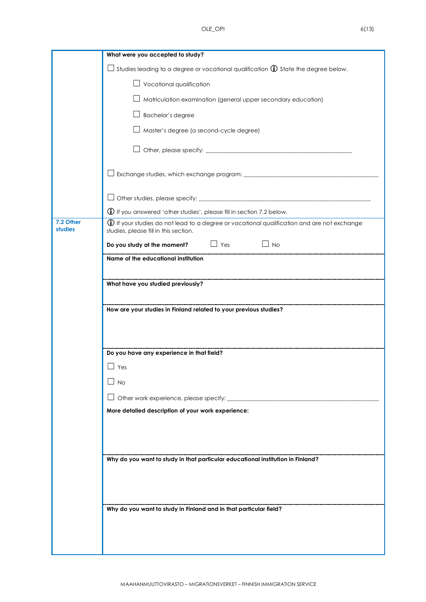|                             | What were you accepted to study?                                                                                                              |
|-----------------------------|-----------------------------------------------------------------------------------------------------------------------------------------------|
|                             | Studies leading to a degree or vocational qualification $\mathbb O$ State the degree below.<br>$\overline{\phantom{a}}$                       |
|                             | $\Box$ Vocational qualification                                                                                                               |
|                             | Matriculation examination (general upper secondary education)                                                                                 |
|                             | Bachelor's degree                                                                                                                             |
|                             | Master's degree (a second-cycle degree)                                                                                                       |
|                             |                                                                                                                                               |
|                             |                                                                                                                                               |
|                             |                                                                                                                                               |
|                             |                                                                                                                                               |
|                             | $\bigoplus$ If you answered 'other studies', please fill in section 7.2 below.                                                                |
| 7.2 Other<br><b>studies</b> | $\bigoplus$ If your studies do not lead to a degree or vocational qualification and are not exchange<br>studies, please fill in this section. |
|                             | Do you study at the moment? $\Box$ Yes $\Box$ No                                                                                              |
|                             | Name of the educational institution                                                                                                           |
|                             |                                                                                                                                               |
|                             | What have you studied previously?                                                                                                             |
|                             |                                                                                                                                               |
|                             | How are your studies in Finland related to your previous studies?                                                                             |
|                             |                                                                                                                                               |
|                             | Do you have any experience in that field?                                                                                                     |
|                             | $\Box$ Yes                                                                                                                                    |
|                             | <b>No</b>                                                                                                                                     |
|                             | Other work experience, please specify:                                                                                                        |
|                             | More detailed description of your work experience:                                                                                            |
|                             |                                                                                                                                               |
|                             |                                                                                                                                               |
|                             |                                                                                                                                               |
|                             | Why do you want to study in that particular educational institution in Finland?                                                               |
|                             |                                                                                                                                               |
|                             |                                                                                                                                               |
|                             | Why do you want to study in Finland and in that particular field?                                                                             |
|                             |                                                                                                                                               |
|                             |                                                                                                                                               |
|                             |                                                                                                                                               |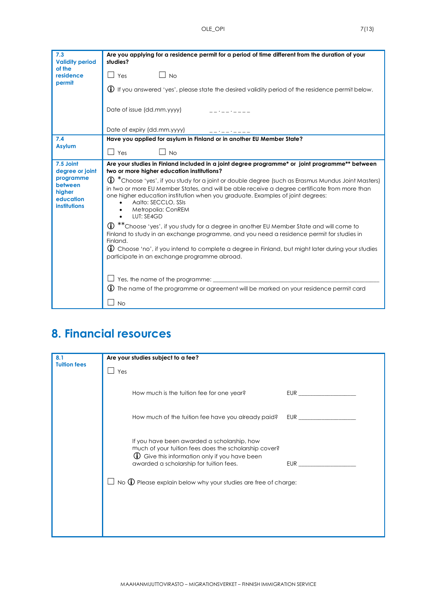| 7.3                                                                | Are you applying for a residence permit for a period of time different from the duration of your<br>studies?                                                                                                                                                                                                                                                  |
|--------------------------------------------------------------------|---------------------------------------------------------------------------------------------------------------------------------------------------------------------------------------------------------------------------------------------------------------------------------------------------------------------------------------------------------------|
| <b>Validity period</b><br>of the                                   |                                                                                                                                                                                                                                                                                                                                                               |
| residence<br>permit                                                | $\Box$ Yes<br>$\Box$ No                                                                                                                                                                                                                                                                                                                                       |
|                                                                    | (j) If you answered 'yes', please state the desired validity period of the residence permit below.                                                                                                                                                                                                                                                            |
|                                                                    |                                                                                                                                                                                                                                                                                                                                                               |
|                                                                    | Date of issue (dd.mm.yyyy)                                                                                                                                                                                                                                                                                                                                    |
|                                                                    |                                                                                                                                                                                                                                                                                                                                                               |
| 7.4                                                                | Date of expiry (dd.mm.yyyy)<br>Have you applied for asylum in Finland or in another EU Member State?                                                                                                                                                                                                                                                          |
| <b>Asylum</b>                                                      |                                                                                                                                                                                                                                                                                                                                                               |
|                                                                    | $\Box$ Yes<br>$\Box$ No                                                                                                                                                                                                                                                                                                                                       |
| 7.5 Joint<br>degree or joint                                       | Are your studies in Finland included in a joint degree programme* or joint programme** between<br>two or more higher education institutions?                                                                                                                                                                                                                  |
| programme<br>between<br>higher<br>education<br><b>institutions</b> | $\bigoplus$ $^*$ Choose 'yes', if you study for a joint or double degree (such as Erasmus Mundus Joint Masters)<br>in two or more EU Member States, and will be able receive a degree certificate from more than<br>one higher education institution when you graduate. Examples of joint degrees:<br>Aalto: SECCLO, SSIs<br>Metropolia: ConREM<br>LUT: SE4GD |
|                                                                    | ** Choose 'yes', if you study for a degree in another EU Member State and will come to<br>(i)<br>Finland to study in an exchange programme, and you need a residence permit for studies in<br>Finland.                                                                                                                                                        |
|                                                                    | $\bigoplus$ Choose 'no', if you intend to complete a degree in Finland, but might later during your studies<br>participate in an exchange programme abroad.                                                                                                                                                                                                   |
|                                                                    | Yes, the name of the programme:<br>The name of the programme or agreement will be marked on your residence permit card<br>(i)                                                                                                                                                                                                                                 |
|                                                                    | <b>No</b>                                                                                                                                                                                                                                                                                                                                                     |

## **8. Financial resources**

| 8.1                 | Are your studies subject to a fee?                                                                                                                                                                                                                                                             |
|---------------------|------------------------------------------------------------------------------------------------------------------------------------------------------------------------------------------------------------------------------------------------------------------------------------------------|
| <b>Tuition fees</b> | Yes                                                                                                                                                                                                                                                                                            |
|                     | How much is the tuition fee for one year?<br>EUR <b>EUR</b>                                                                                                                                                                                                                                    |
|                     | How much of the tuition fee have you already paid?<br>EUR <sub>c</sub> and the set of the set of the set of the set of the set of the set of the set of the set of the set of the set of the set of the set of the set of the set of the set of the set of the set of the set of the set of th |
|                     | If you have been awarded a scholarship, how<br>much of your tuition fees does the scholarship cover?<br>$\bigcirc$ Give this information only if you have been<br>awarded a scholarship for tuition fees.<br>EUR<br>No $\bigoplus$ Please explain below why your studies are free of charge:   |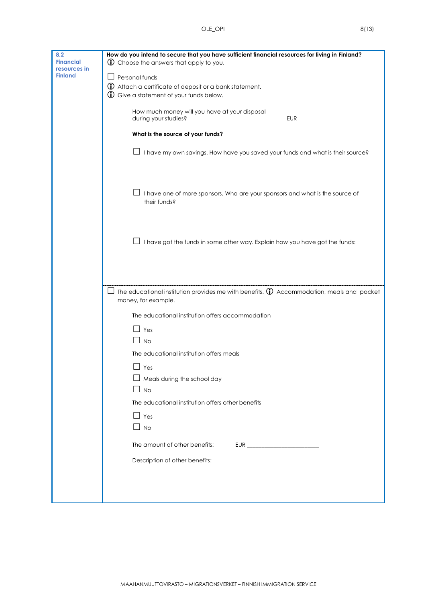| 8.2<br><b>Financial</b><br>resources in | How do you intend to secure that you have sufficient financial resources for living in Finland?<br>(i) Choose the answers that apply to you. |  |  |  |  |
|-----------------------------------------|----------------------------------------------------------------------------------------------------------------------------------------------|--|--|--|--|
| <b>Finland</b>                          | Personal funds                                                                                                                               |  |  |  |  |
|                                         | 1. Attach a certificate of deposit or a bank statement.                                                                                      |  |  |  |  |
|                                         | <b>1</b> Give a statement of your funds below.                                                                                               |  |  |  |  |
|                                         | How much money will you have at your disposal<br>during your studies?<br>EUR                                                                 |  |  |  |  |
|                                         | What is the source of your funds?                                                                                                            |  |  |  |  |
|                                         | I have my own savings. How have you saved your funds and what is their source?                                                               |  |  |  |  |
|                                         | I have one of more sponsors. Who are your sponsors and what is the source of<br>their funds?                                                 |  |  |  |  |
|                                         | I have got the funds in some other way. Explain how you have got the funds:                                                                  |  |  |  |  |
|                                         | The educational institution provides me with benefits. $\mathbb D$ Accommodation, meals and pocket                                           |  |  |  |  |
|                                         | money, for example.<br>The educational institution offers accommodation                                                                      |  |  |  |  |
|                                         |                                                                                                                                              |  |  |  |  |
|                                         | $\Box$ Yes                                                                                                                                   |  |  |  |  |
|                                         | $\Box$ No                                                                                                                                    |  |  |  |  |
|                                         | The educational institution offers meals                                                                                                     |  |  |  |  |
|                                         | $\Box$ Yes                                                                                                                                   |  |  |  |  |
|                                         | $\Box$ Meals during the school day                                                                                                           |  |  |  |  |
|                                         | $\Box$ No                                                                                                                                    |  |  |  |  |
|                                         | The educational institution offers other benefits                                                                                            |  |  |  |  |
|                                         | $\Box$ Yes                                                                                                                                   |  |  |  |  |
|                                         | $\Box$ No                                                                                                                                    |  |  |  |  |
|                                         | The amount of other benefits:                                                                                                                |  |  |  |  |
|                                         | Description of other benefits:                                                                                                               |  |  |  |  |
|                                         |                                                                                                                                              |  |  |  |  |
|                                         |                                                                                                                                              |  |  |  |  |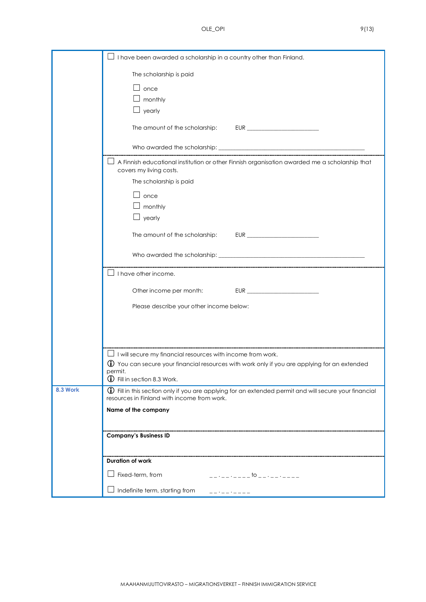|          | I have been awarded a scholarship in a country other than Finland.                                                                                          |
|----------|-------------------------------------------------------------------------------------------------------------------------------------------------------------|
|          | The scholarship is paid                                                                                                                                     |
|          | $\Box$ once                                                                                                                                                 |
|          | $\perp$ monthly                                                                                                                                             |
|          | $\perp$ yearly                                                                                                                                              |
|          | The amount of the scholarship:                                                                                                                              |
|          |                                                                                                                                                             |
|          | A Finnish educational institution or other Finnish organisation awarded me a scholarship that<br>covers my living costs.                                    |
|          | The scholarship is paid                                                                                                                                     |
|          | $\Box$ once                                                                                                                                                 |
|          | monthly                                                                                                                                                     |
|          | $\perp$ yearly                                                                                                                                              |
|          | The amount of the scholarship:                                                                                                                              |
|          |                                                                                                                                                             |
|          | I have other income.                                                                                                                                        |
|          | Other income per month:                                                                                                                                     |
|          | Please describe your other income below:                                                                                                                    |
|          |                                                                                                                                                             |
|          |                                                                                                                                                             |
|          | $\Box$ I will secure my financial resources with income from work.                                                                                          |
|          | $\textcircled{1}$ You can secure your financial resources with work only if you are applying for an extended                                                |
|          | permit.<br>1 Fill in section 8.3 Work.                                                                                                                      |
| 8.3 Work | <b>1</b> Fill in this section only if you are applying for an extended permit and will secure your financial<br>resources in Finland with income from work. |
|          | Name of the company                                                                                                                                         |
|          |                                                                                                                                                             |
|          | <b>Company's Business ID</b>                                                                                                                                |
|          |                                                                                                                                                             |
|          | <b>Duration of work</b>                                                                                                                                     |
|          | Fixed-term, from<br>$-$ - - - - - - - - - $-$ to - - - - - - - - - -                                                                                        |
|          | Indefinite term, starting from                                                                                                                              |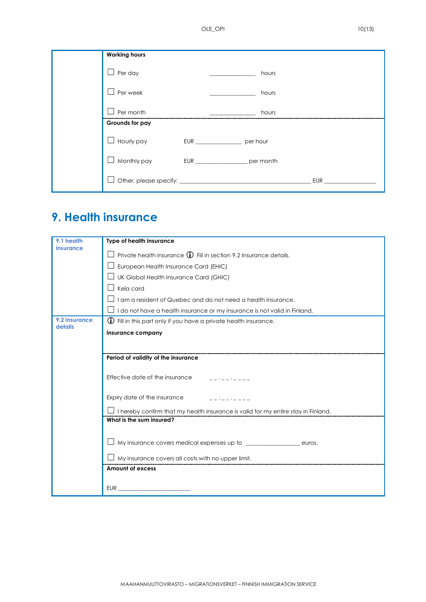| <b>Working hours</b> |                                        |       |     |
|----------------------|----------------------------------------|-------|-----|
| Per day              |                                        | hours |     |
| Per week             |                                        | hours |     |
| Per month            |                                        | hours |     |
| Grounds for pay      |                                        |       |     |
| Hourly pay           |                                        |       |     |
| Monthly pay          | EUR ________________________ per month |       |     |
|                      |                                        |       | EUR |

## **9. Health insurance**

| 9.1 health               | Type of health insurance                                                          |  |  |  |
|--------------------------|-----------------------------------------------------------------------------------|--|--|--|
| insurance                | Private health insurance $\bigoplus$ Fill in section 9.2 Insurance details.       |  |  |  |
|                          | European Health Insurance Card (EHIC)                                             |  |  |  |
|                          | UK Global Health Insurance Card (GHIC)                                            |  |  |  |
|                          | Kela card                                                                         |  |  |  |
|                          | I am a resident of Quebec and do not need a health insurance.                     |  |  |  |
|                          | I do not have a health insurance or my insurance is not valid in Finland.         |  |  |  |
| 9.2 Insurance<br>details | $\bigcirc$ Fill in this part only if you have a private health insurance.         |  |  |  |
|                          | Insurance company                                                                 |  |  |  |
|                          |                                                                                   |  |  |  |
|                          | Period of validity of the insurance                                               |  |  |  |
|                          |                                                                                   |  |  |  |
|                          | Effective date of the insurance                                                   |  |  |  |
|                          |                                                                                   |  |  |  |
|                          | Expiry date of the insurance                                                      |  |  |  |
|                          | I hereby confirm that my health insurance is valid for my entire stay in Finland. |  |  |  |
|                          | What is the sum insured?                                                          |  |  |  |
|                          |                                                                                   |  |  |  |
|                          | My insurance covers medical expenses up to ___________________ euros.             |  |  |  |
|                          | $\perp$ My insurance covers all costs with no upper limit.                        |  |  |  |
|                          | <b>Amount of excess</b>                                                           |  |  |  |
|                          |                                                                                   |  |  |  |
|                          | EUR                                                                               |  |  |  |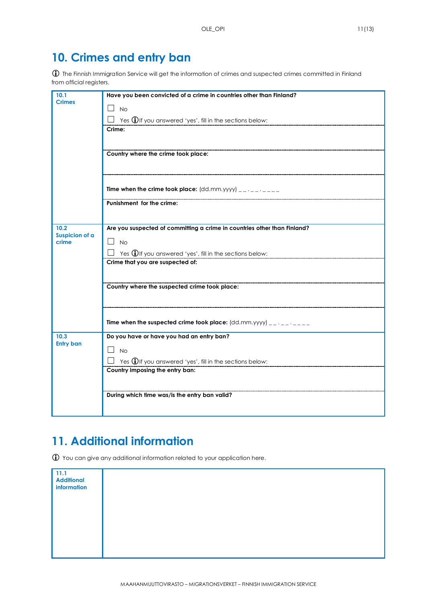#### **10. Crimes and entry ban**

 The Finnish Immigration Service will get the information of crimes and suspected crimes committed in Finland from official registers.

| 10.1                           | Have you been convicted of a crime in countries other than Finland?      |
|--------------------------------|--------------------------------------------------------------------------|
| <b>Crimes</b>                  | <b>No</b><br>$\overline{\phantom{a}}$                                    |
|                                | Yes <b>1</b> If you answered 'yes', fill in the sections below:          |
|                                | Crime:                                                                   |
|                                |                                                                          |
|                                | Country where the crime took place:                                      |
|                                |                                                                          |
|                                |                                                                          |
|                                | Time when the crime took place: $(dd.mm.yyyy)$ __ .__ .____              |
|                                |                                                                          |
|                                | Punishment for the crime:                                                |
|                                |                                                                          |
| 10.2                           | Are you suspected of committing a crime in countries other than Finland? |
| <b>Suspicion of a</b><br>crime | $\overline{\phantom{a}}$<br><b>No</b>                                    |
|                                | Yes $\bigoplus$ If you answered 'yes', fill in the sections below:       |
|                                | Crime that you are suspected of:                                         |
|                                |                                                                          |
|                                | Country where the suspected crime took place:                            |
|                                |                                                                          |
|                                |                                                                          |
|                                | Time when the suspected crime took place: $(dd.mm.yyyy)$ __.__.___       |
|                                |                                                                          |
| 10.3<br><b>Entry ban</b>       | Do you have or have you had an entry ban?                                |
|                                | <b>No</b>                                                                |
|                                | Yes <b>1</b> If you answered 'yes', fill in the sections below:          |
|                                | Country imposing the entry ban:                                          |
|                                |                                                                          |
|                                | During which time was/is the entry ban valid?                            |
|                                |                                                                          |
|                                |                                                                          |

### **11. Additional information**

You can give any additional information related to your application here.

| 11.1<br>Additional<br>information |  |  |  |
|-----------------------------------|--|--|--|
|                                   |  |  |  |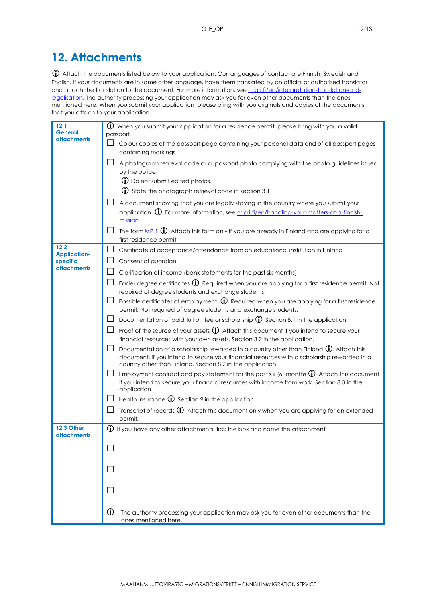#### **12. Attachments**

 Attach the documents listed below to your application. Our languages of contact are Finnish, Swedish and English. If your documents are in some other language, have them translated by an official or authorised translator and attach the translation to the document. For more information, see [migri.fi/en/interpretation-translation-and](https://migri.fi/en/interpretation-translation-and-legalisation)[legalisation.](https://migri.fi/en/interpretation-translation-and-legalisation) The authority processing your application may ask you for even other documents than the ones mentioned here. When you submit your application, please bring with you originals and copies of the documents that you attach to your application.

| 12.1<br>General                  | $\bigoplus$ When you submit your application for a residence permit, please bring with you a valid<br>passport.                                                                                                                                       |
|----------------------------------|-------------------------------------------------------------------------------------------------------------------------------------------------------------------------------------------------------------------------------------------------------|
| attachments                      | $\perp$ Colour copies of the passport page containing your personal data and of all passport pages<br>containing markings                                                                                                                             |
|                                  | A photograph retrieval code or a passport photo complying with the photo quidelines issued<br>by the police                                                                                                                                           |
|                                  | <b>1</b> Do not submit edited photos.<br>(i) State the photograph retrieval code in section 3.1                                                                                                                                                       |
|                                  |                                                                                                                                                                                                                                                       |
|                                  | A document showing that you are legally staying in the country where you submit your<br>application. 1 For more information, see migri.fi/en/handling-your-matters-at-a-finnish-<br>mission                                                           |
|                                  | The form $MP_1$ $\oplus$ Attach this form only if you are already in Finland and are applying for a<br>first residence permit.                                                                                                                        |
| 12.2<br><b>Application-</b>      | Certificate of acceptance/attendance from an educational institution in Finland                                                                                                                                                                       |
| specific<br><b>attachments</b>   | Consent of guardian                                                                                                                                                                                                                                   |
|                                  | Clarification of income (bank statements for the past six months)                                                                                                                                                                                     |
|                                  | Earlier degree certificates $\bigoplus$ Required when you are applying for a first residence permit. Not<br>required of degree students and exchange students.                                                                                        |
|                                  | Possible certificates of employment $\bigoplus$ Required when you are applying for a first residence<br>permit. Not required of degree students and exchange students.                                                                                |
|                                  | Documentation of paid tuition fee or scholarship $\mathbb O$ Section 8.1 in the application.                                                                                                                                                          |
|                                  | Proof of the source of your assets $\mathbf{\hat{U}}$ Attach this document if you intend to secure your<br>financial resources with your own assets. Section 8.2 in the application.                                                                  |
|                                  | Documentation of a scholarship rewarded in a country other than Finland (i) Attach this<br>document, if you intend to secure your financial resources with a scholarship rewarded in a<br>country other than Finland. Section 8.2 in the application. |
|                                  | Employment contract and pay statement for the past six (6) months $\bigoplus$ Attach this document<br>if you intend to secure your financial resources with income from work. Section 8.3 in the<br>application.                                      |
|                                  | Health insurance $\mathbb D$ Section 9 in the application.                                                                                                                                                                                            |
|                                  | Transcript of records $\overline{0}$ Attach this document only when you are applying for an extended<br>permit.                                                                                                                                       |
| 12.3 Other<br><b>attachments</b> | $\bigoplus$ If you have any other attachments, tick the box and name the attachment:                                                                                                                                                                  |
|                                  |                                                                                                                                                                                                                                                       |
|                                  |                                                                                                                                                                                                                                                       |
|                                  |                                                                                                                                                                                                                                                       |
|                                  |                                                                                                                                                                                                                                                       |
|                                  | $\mathbf{D}$<br>The authority processing your application may ask you for even other documents than the<br>ones mentioned here.                                                                                                                       |